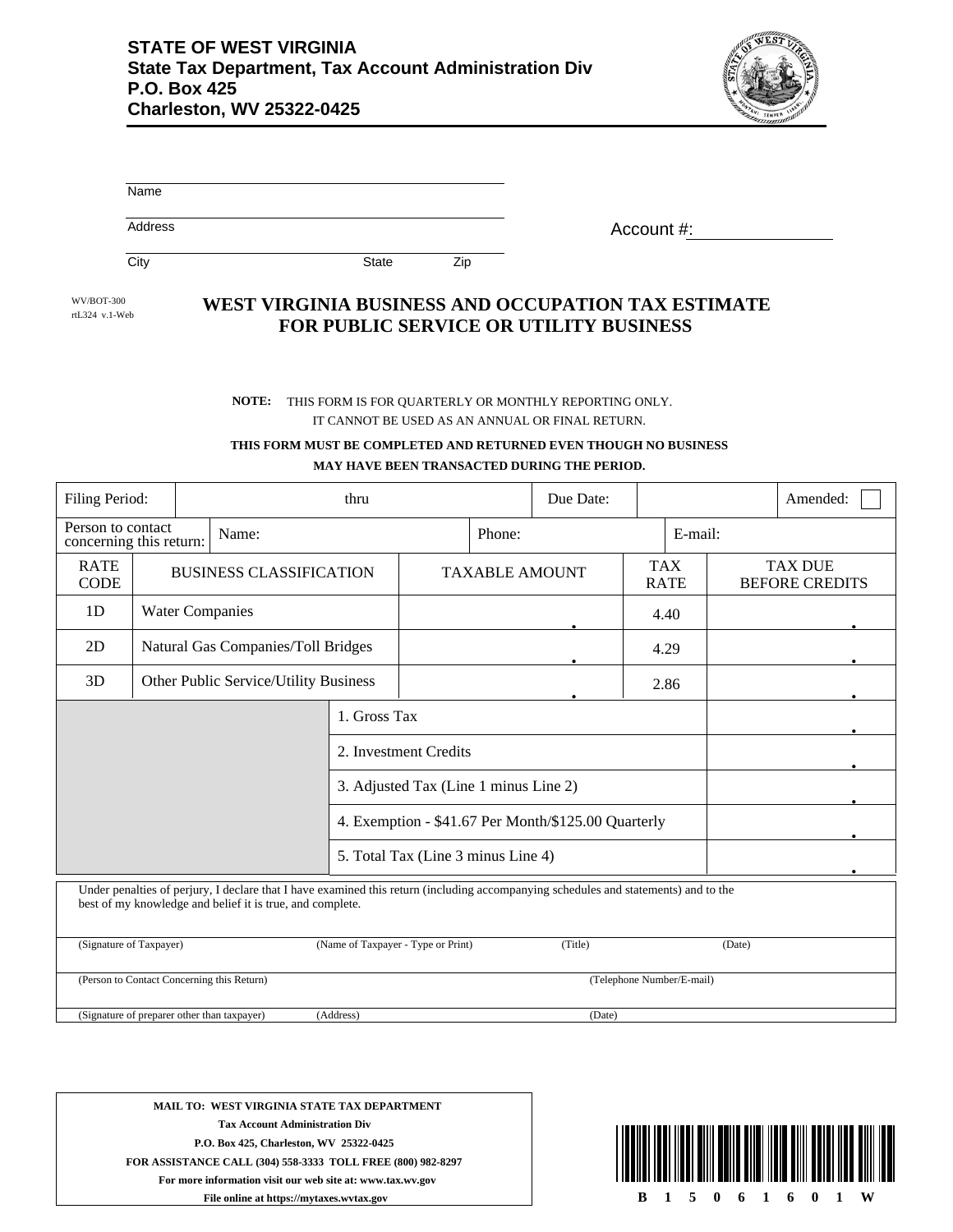

| Name    |            |
|---------|------------|
| Address | Account #: |

City **State** Zip

WV/BOT-300

## rtL324 v.1-Web **WEST VIRGINIA BUSINESS AND OCCUPATION TAX ESTIMATE FOR PUBLIC SERVICE OR UTILITY BUSINESS**

## IT CANNOT BE USED AS AN ANNUAL OR FINAL RETURN. **NOTE:** THIS FORM IS FOR QUARTERLY OR MONTHLY REPORTING ONLY.

## **THIS FORM MUST BE COMPLETED AND RETURNED EVEN THOUGH NO BUSINESS MAY HAVE BEEN TRANSACTED DURING THE PERIOD.**

| Filing Period:<br>thru                                                                                                                                                                           |                                    |                                       |                                       |                       | Due Date: |                           |         |                                         | Amended: |  |
|--------------------------------------------------------------------------------------------------------------------------------------------------------------------------------------------------|------------------------------------|---------------------------------------|---------------------------------------|-----------------------|-----------|---------------------------|---------|-----------------------------------------|----------|--|
| Person to contact<br>Name:<br>concerning this return:                                                                                                                                            |                                    |                                       |                                       | Phone:                |           |                           | E-mail: |                                         |          |  |
| <b>RATE</b><br><b>CODE</b>                                                                                                                                                                       | <b>BUSINESS CLASSIFICATION</b>     |                                       |                                       | <b>TAXABLE AMOUNT</b> |           | <b>TAX</b><br><b>RATE</b> |         | <b>TAX DUE</b><br><b>BEFORE CREDITS</b> |          |  |
| 1D                                                                                                                                                                                               | <b>Water Companies</b>             |                                       |                                       | 4.40                  |           |                           |         |                                         |          |  |
| 2D                                                                                                                                                                                               | Natural Gas Companies/Toll Bridges |                                       |                                       | 4.29                  |           |                           |         |                                         |          |  |
| 3D                                                                                                                                                                                               |                                    | Other Public Service/Utility Business | 2.86                                  |                       |           |                           |         |                                         |          |  |
|                                                                                                                                                                                                  |                                    |                                       | 1. Gross Tax                          |                       |           |                           |         |                                         |          |  |
|                                                                                                                                                                                                  |                                    | 2. Investment Credits                 |                                       |                       |           |                           |         |                                         |          |  |
|                                                                                                                                                                                                  |                                    |                                       | 3. Adjusted Tax (Line 1 minus Line 2) |                       |           |                           |         |                                         |          |  |
| 4. Exemption - \$41.67 Per Month/\$125.00 Quarterly                                                                                                                                              |                                    |                                       |                                       |                       |           |                           |         |                                         |          |  |
| 5. Total Tax (Line 3 minus Line 4)                                                                                                                                                               |                                    |                                       |                                       |                       |           |                           |         |                                         |          |  |
| Under penalties of perjury, I declare that I have examined this return (including accompanying schedules and statements) and to the<br>best of my knowledge and belief it is true, and complete. |                                    |                                       |                                       |                       |           |                           |         |                                         |          |  |
| (Signature of Taxpayer)<br>(Name of Taxpayer - Type or Print)                                                                                                                                    |                                    |                                       |                                       |                       |           | (Title)                   |         |                                         | (Date)   |  |
| (Person to Contact Concerning this Return)<br>(Telephone Number/E-mail)                                                                                                                          |                                    |                                       |                                       |                       |           |                           |         |                                         |          |  |
| (Signature of preparer other than taxpayer)<br>(Address)<br>(Date)                                                                                                                               |                                    |                                       |                                       |                       |           |                           |         |                                         |          |  |

**MAIL TO: WEST VIRGINIA STATE TAX DEPARTMENT Tax Account Administration Div P.O. Box 425, Charleston, WV 25322-0425 FOR ASSISTANCE CALL (304) 558-3333 TOLL FREE (800) 982-8297 For more information visit our web site at: www.tax.wv.gov File online at https://mytaxes.wvtax.gov**